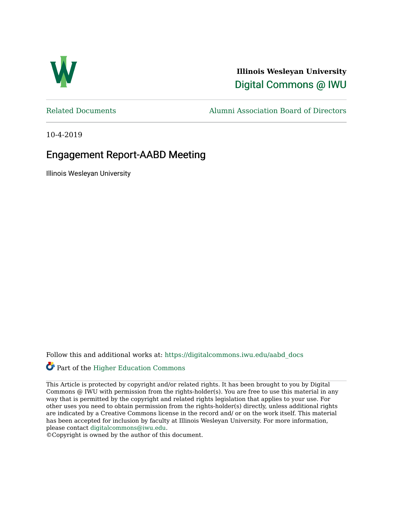

**Illinois Wesleyan University**  [Digital Commons @ IWU](https://digitalcommons.iwu.edu/) 

[Related Documents](https://digitalcommons.iwu.edu/aabd_docs) [Alumni Association Board of Directors](https://digitalcommons.iwu.edu/alumni_aabd) 

10-4-2019

#### Engagement Report-AABD Meeting

Illinois Wesleyan University

Follow this and additional works at: [https://digitalcommons.iwu.edu/aabd\\_docs](https://digitalcommons.iwu.edu/aabd_docs?utm_source=digitalcommons.iwu.edu%2Faabd_docs%2F16&utm_medium=PDF&utm_campaign=PDFCoverPages) 

#### Part of the [Higher Education Commons](https://network.bepress.com/hgg/discipline/1245?utm_source=digitalcommons.iwu.edu%2Faabd_docs%2F16&utm_medium=PDF&utm_campaign=PDFCoverPages)

This Article is protected by copyright and/or related rights. It has been brought to you by Digital Commons @ IWU with permission from the rights-holder(s). You are free to use this material in any way that is permitted by the copyright and related rights legislation that applies to your use. For other uses you need to obtain permission from the rights-holder(s) directly, unless additional rights are indicated by a Creative Commons license in the record and/ or on the work itself. This material has been accepted for inclusion by faculty at Illinois Wesleyan University. For more information, please contact [digitalcommons@iwu.edu.](mailto:digitalcommons@iwu.edu)

©Copyright is owned by the author of this document.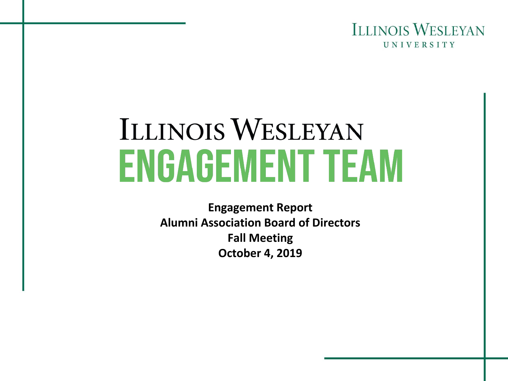

# **ILLINOIS WESLEYAN ENGAGEMENT TEAM**

**Engagement Report Alumni Association Board of Directors Fall Meeting October 4, 2019**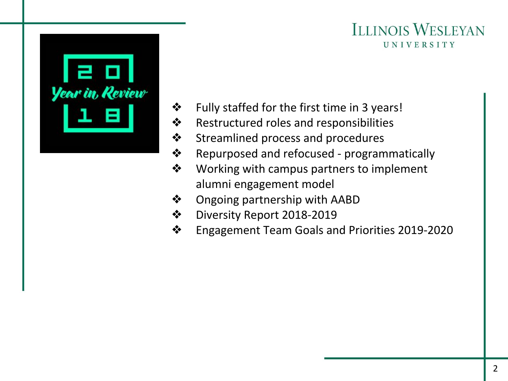

- ❖ Fully staffed for the first time in 3 years!
- ❖ Restructured roles and responsibilities
- ❖ Streamlined process and procedures
- ❖ Repurposed and refocused programmatically
- ❖ Working with campus partners to implement alumni engagement model
- ❖ Ongoing partnership with AABD
- ❖ Diversity Report 2018-2019
- ❖ Engagement Team Goals and Priorities 2019-2020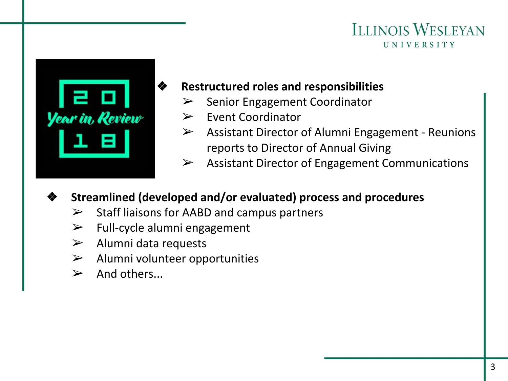

## ❖ **Restructured roles and responsibilities**

- ➢ Senior Engagement Coordinator
- ➢ Event Coordinator
- ➢ Assistant Director of Alumni Engagement Reunions reports to Director of Annual Giving
- $\triangleright$  Assistant Director of Engagement Communications

# ❖ **Streamlined (developed and/or evaluated) process and procedures**

- $\triangleright$  Staff liaisons for AABD and campus partners
- $\triangleright$  Full-cycle alumni engagement
- $\triangleright$  Alumni data requests
- $\triangleright$  Alumni volunteer opportunities
- $\triangleright$  And others...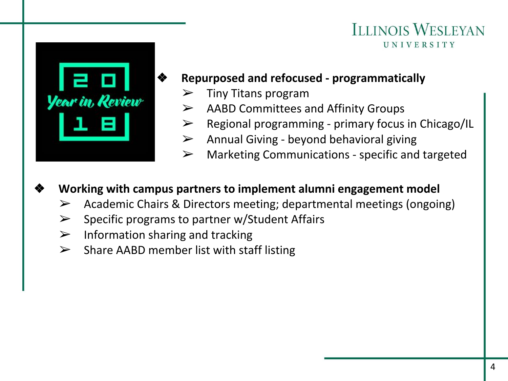

# ❖ **Repurposed and refocused - programmatically**

- ➢ Tiny Titans program
- $\triangleright$  AABD Committees and Affinity Groups
- $\triangleright$  Regional programming primary focus in Chicago/IL
- $\triangleright$  Annual Giving beyond behavioral giving
- $\triangleright$  Marketing Communications specific and targeted
- ❖ **Working with campus partners to implement alumni engagement model** 
	- $\triangleright$  Academic Chairs & Directors meeting; departmental meetings (ongoing)
	- $\triangleright$  Specific programs to partner w/Student Affairs
	- $\triangleright$  Information sharing and tracking
	- $\triangleright$  Share AABD member list with staff listing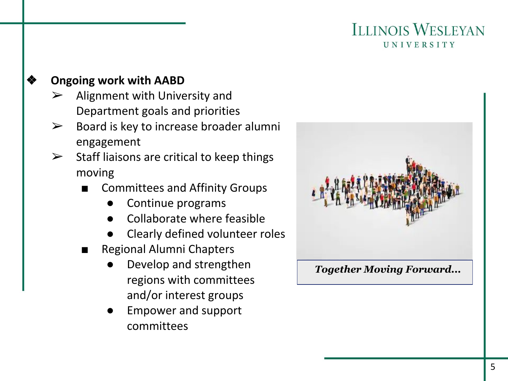# ❖ **Ongoing work with AABD**

- ➢ Alignment with University and Department goals and priorities
- $\triangleright$  Board is key to increase broader alumni engagement
- $\triangleright$  Staff liaisons are critical to keep things moving
	- Committees and Affinity Groups
		- Continue programs
		- Collaborate where feasible
		- Clearly defined volunteer roles
	- **Regional Alumni Chapters** 
		- Develop and strengthen regions with committees and/or interest groups
		- Empower and support committees

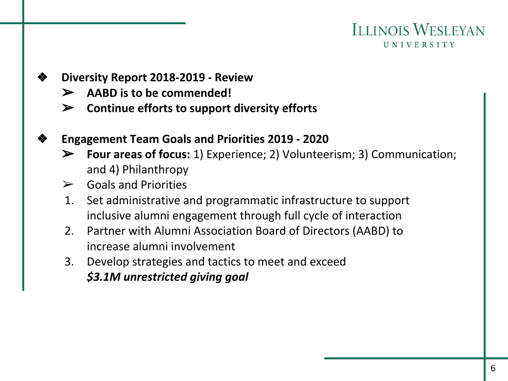#### ❖ **Diversity Report 2018-2019 - Review**

- ➢ **AABD is to be commended!**
- ➢ **Continue efforts to support diversity efforts**

#### ❖ **Engagement Team Goals and Priorities 2019 - 2020**

- ➢ **Four areas of focus:** 1) Experience; 2) Volunteerism; 3) Communication; and 4) Philanthropy
- $\triangleright$  Goals and Priorities
- 1. Set administrative and programmatic infrastructure to support inclusive alumni engagement through full cycle of interaction
- 2. Partner with Alumni Association Board of Directors (AABD) to increase alumni involvement
- 3. Develop strategies and tactics to meet and exceed *\$3.1M unrestricted giving goal*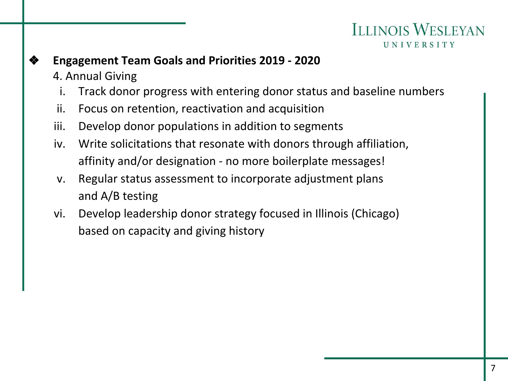## ❖ **Engagement Team Goals and Priorities 2019 - 2020**

- 4. Annual Giving
	- i. Track donor progress with entering donor status and baseline numbers
- ii. Focus on retention, reactivation and acquisition
- iii. Develop donor populations in addition to segments
- iv. Write solicitations that resonate with donors through affiliation, affinity and/or designation - no more boilerplate messages!
- v. Regular status assessment to incorporate adjustment plans and A/B testing
- vi. Develop leadership donor strategy focused in Illinois (Chicago) based on capacity and giving history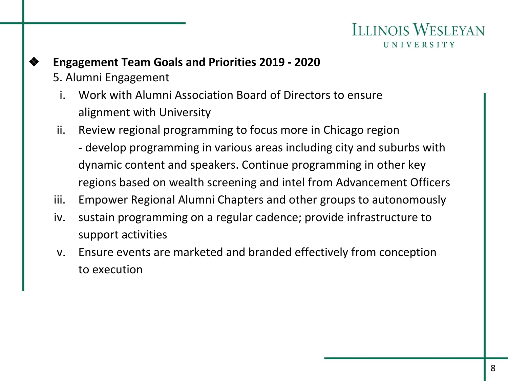- ❖ **Engagement Team Goals and Priorities 2019 2020** 5. Alumni Engagement
	- i. Work with Alumni Association Board of Directors to ensure alignment with University
	- ii. Review regional programming to focus more in Chicago region - develop programming in various areas including city and suburbs with dynamic content and speakers. Continue programming in other key regions based on wealth screening and intel from Advancement Officers
	- iii. Empower Regional Alumni Chapters and other groups to autonomously
	- iv. sustain programming on a regular cadence; provide infrastructure to support activities
	- v. Ensure events are marketed and branded effectively from conception to execution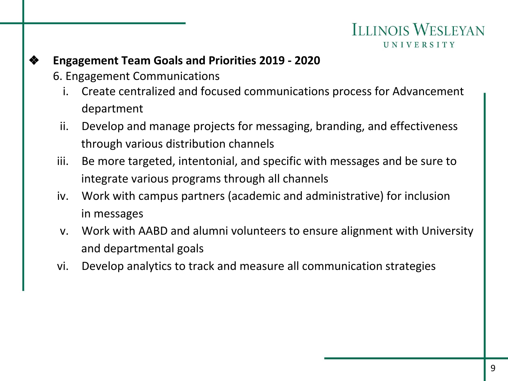### ❖ **Engagement Team Goals and Priorities 2019 - 2020**

- 6. Engagement Communications
	- i. Create centralized and focused communications process for Advancement department
	- ii. Develop and manage projects for messaging, branding, and effectiveness through various distribution channels
- iii. Be more targeted, intentonial, and specific with messages and be sure to integrate various programs through all channels
- iv. Work with campus partners (academic and administrative) for inclusion in messages
- v. Work with AABD and alumni volunteers to ensure alignment with University and departmental goals
- vi. Develop analytics to track and measure all communication strategies